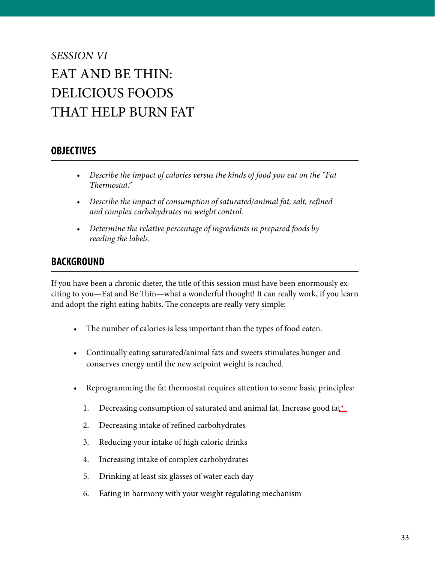# *SESSION VI* EAT AND BE THIN: DELICIOUS FOODS THAT HELP BURN FAT

#### **OBJECTIVES**

- *Describe the impact of calories versus the kinds of food you eat on the "Fat Thermostat."*
- *Describe the impact of consumption of saturated/animal fat, salt, refined and complex carbohydrates on weight control.*
- *• Determine the relative percentage of ingredients in prepared foods by reading the labels.*

### **BACKGROUND**

If you have been a chronic dieter, the title of this session must have been enormously exciting to you—Eat and Be Thin—what a wonderful thought! It can really work, if you learn and adopt the right eating habits. The concepts are really very simple:

- The number of calories is less important than the types of food eaten.
- Continually eating saturated/animal fats and sweets stimulates hunger and conserves energy until the new setpoint weight is reached.
- Reprogramming the fat thermostat requires attention to some basic principles:
	- 1. Decreasing consumption of saturated and animal fat. Increase good fa[t\\*](#page-4-0)
	- 2. Decreasing intake of refined carbohydrates
	- 3. Reducing your intake of high caloric drinks
	- 4. Increasing intake of complex carbohydrates
	- 5. Drinking at least six glasses of water each day
	- 6. Eating in harmony with your weight regulating mechanism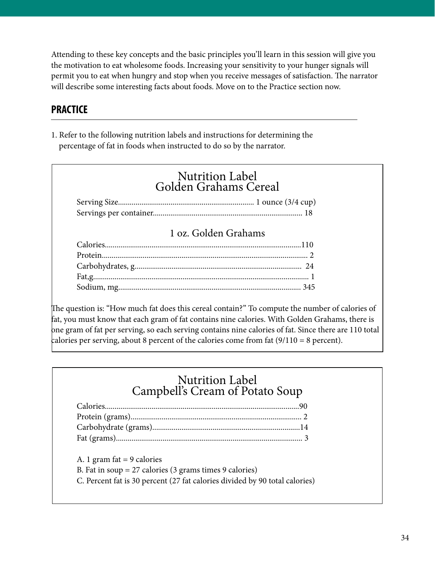Attending to these key concepts and the basic principles you'll learn in this session will give you the motivation to eat wholesome foods. Increasing your sensitivity to your hunger signals will permit you to eat when hungry and stop when you receive messages of satisfaction. The narrator will describe some interesting facts about foods. Move on to the Practice section now.

## **PRACTICE**

1. Refer to the following nutrition labels and instructions for determining the percentage of fat in foods when instructed to do so by the narrator.

| <b>Nutrition Label</b><br>Golden Grahams Cereal |                      |  |  |
|-------------------------------------------------|----------------------|--|--|
|                                                 |                      |  |  |
|                                                 |                      |  |  |
|                                                 | 1 oz. Golden Grahams |  |  |
|                                                 |                      |  |  |
|                                                 |                      |  |  |
|                                                 |                      |  |  |
|                                                 |                      |  |  |

The question is: "How much fat does this cereal contain?" To compute the number of calories of fat, you must know that each gram of fat contains nine calories. With Golden Grahams, there is one gram of fat per serving, so each serving contains nine calories of fat. Since there are 110 total calories per serving, about 8 percent of the calories come from fat  $(9/110 = 8$  percent).

## Nutrition Label Campbell's Cream of Potato Soup

A. 1 gram fat  $= 9$  calories B. Fat in soup = 27 calories (3 grams times 9 calories) C. Percent fat is 30 percent (27 fat calories divided by 90 total calories)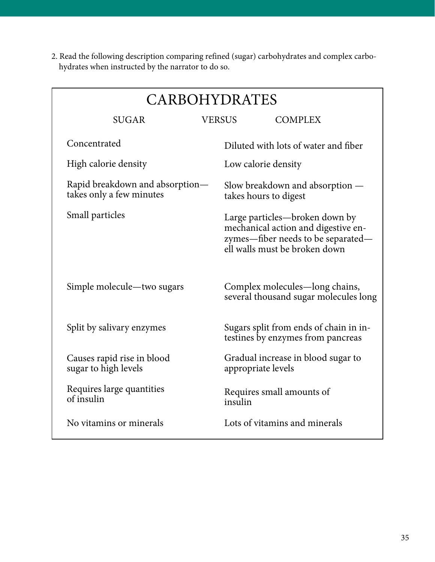<span id="page-2-0"></span>2. Read the following description comparing refined (sugar) carbohydrates and complex carbohydrates when instructed by the narrator to do so.

| <b>CARBOHYDRATES</b>                                        |                                      |                                                                                                                                              |  |
|-------------------------------------------------------------|--------------------------------------|----------------------------------------------------------------------------------------------------------------------------------------------|--|
| <b>SUGAR</b>                                                | <b>VERSUS</b>                        | <b>COMPLEX</b>                                                                                                                               |  |
| Concentrated                                                |                                      | Diluted with lots of water and fiber                                                                                                         |  |
| High calorie density                                        | Low calorie density                  |                                                                                                                                              |  |
| Rapid breakdown and absorption-<br>takes only a few minutes |                                      | Slow breakdown and absorption —<br>takes hours to digest                                                                                     |  |
| Small particles                                             |                                      | Large particles—broken down by<br>mechanical action and digestive en-<br>zymes—fiber needs to be separated—<br>ell walls must be broken down |  |
| Simple molecule—two sugars                                  |                                      | Complex molecules—long chains,<br>several thousand sugar molecules long                                                                      |  |
| Split by salivary enzymes                                   |                                      | Sugars split from ends of chain in in-<br>testines by enzymes from pancreas                                                                  |  |
| Causes rapid rise in blood<br>sugar to high levels          | appropriate levels                   | Gradual increase in blood sugar to                                                                                                           |  |
| Requires large quantities<br>of insulin                     | Requires small amounts of<br>insulin |                                                                                                                                              |  |
| No vitamins or minerals                                     |                                      | Lots of vitamins and minerals                                                                                                                |  |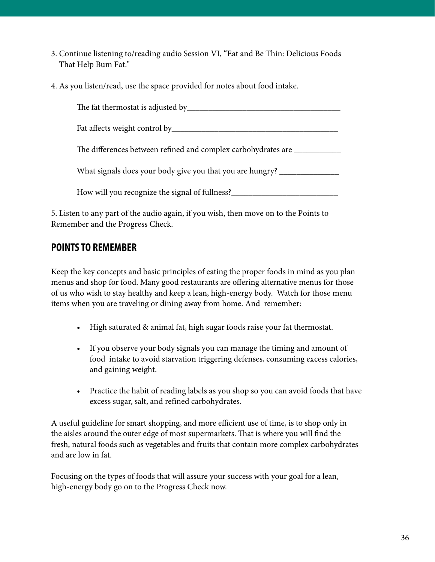- 3. Continue listening to/reading audio Session VI, "Eat and Be Thin: Delicious Foods That Help Bum Fat."
- 4. As you listen/read, use the space provided for notes about food intake.

The fat thermostat is adjusted by The fat thermostat is adjusted by

Fat affects weight control by\_\_\_\_\_\_\_\_\_\_\_\_\_\_\_\_\_\_\_\_\_\_\_\_\_\_\_\_\_\_\_\_\_\_\_\_\_\_\_

The differences between refined and complex carbohydrates are  $\Box$ 

What signals does your body give you that you are hungry?

How will you recognize the signal of fullness?\_\_\_\_\_\_\_\_\_\_\_\_\_\_\_\_\_\_\_\_\_\_\_\_\_\_\_\_\_\_\_\_\_\_

5. Listen to any part of the audio again, if you wish, then move on to the Points to Remember and the Progress Check.

## **POINTS TO REMEMBER**

Keep the key concepts and basic principles of eating the proper foods in mind as you plan menus and shop for food. Many good restaurants are offering alternative menus for those of us who wish to stay healthy and keep a lean, high-energy body. Watch for those menu items when you are traveling or dining away from home. And remember:

- High saturated & animal fat, high sugar foods raise your fat thermostat.
- If you observe your body signals you can manage the timing and amount of food intake to avoid starvation triggering defenses, consuming excess calories, and gaining weight.
- Practice the habit of reading labels as you shop so you can avoid foods that have excess sugar, salt, and refined carbohydrates.

A useful guideline for smart shopping, and more efficient use of time, is to shop only in the aisles around the outer edge of most supermarkets. That is where you will find the fresh, natural foods such as vegetables and fruits that contain more complex carbohydrates and are low in fat.

Focusing on the types of foods that will assure your success with your goal for a lean, high-energy body go on to the Progress Check now.